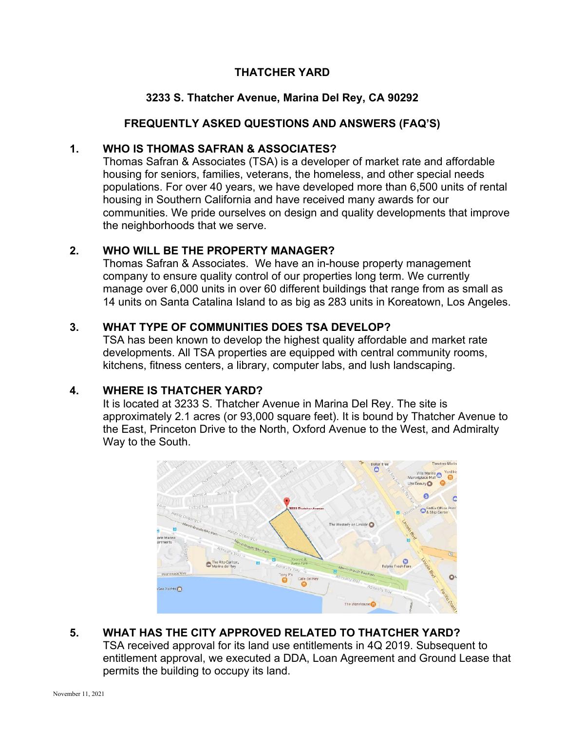#### **THATCHER YARD**

#### **3233 S. Thatcher Avenue, Marina Del Rey, CA 90292**

#### **FREQUENTLY ASKED QUESTIONS AND ANSWERS (FAQ'S)**

#### **1. WHO IS THOMAS SAFRAN & ASSOCIATES?**

Thomas Safran & Associates (TSA) is a developer of market rate and affordable housing for seniors, families, veterans, the homeless, and other special needs populations. For over 40 years, we have developed more than 6,500 units of rental housing in Southern California and have received many awards for our communities. We pride ourselves on design and quality developments that improve the neighborhoods that we serve.

#### **2. WHO WILL BE THE PROPERTY MANAGER?**

Thomas Safran & Associates. We have an in-house property management company to ensure quality control of our properties long term. We currently manage over 6,000 units in over 60 different buildings that range from as small as 14 units on Santa Catalina Island to as big as 283 units in Koreatown, Los Angeles.

#### **3. WHAT TYPE OF COMMUNITIES DOES TSA DEVELOP?**

TSA has been known to develop the highest quality affordable and market rate developments. All TSA properties are equipped with central community rooms, kitchens, fitness centers, a library, computer labs, and lush landscaping.

#### **4. WHERE IS THATCHER YARD?**

It is located at 3233 S. Thatcher Avenue in Marina Del Rey. The site is approximately 2.1 acres (or 93,000 square feet). It is bound by Thatcher Avenue to the East, Princeton Drive to the North, Oxford Avenue to the West, and Admiralty Way to the South.



#### **5. WHAT HAS THE CITY APPROVED RELATED TO THATCHER YARD?**

TSA received approval for its land use entitlements in 4Q 2019. Subsequent to entitlement approval, we executed a DDA, Loan Agreement and Ground Lease that permits the building to occupy its land.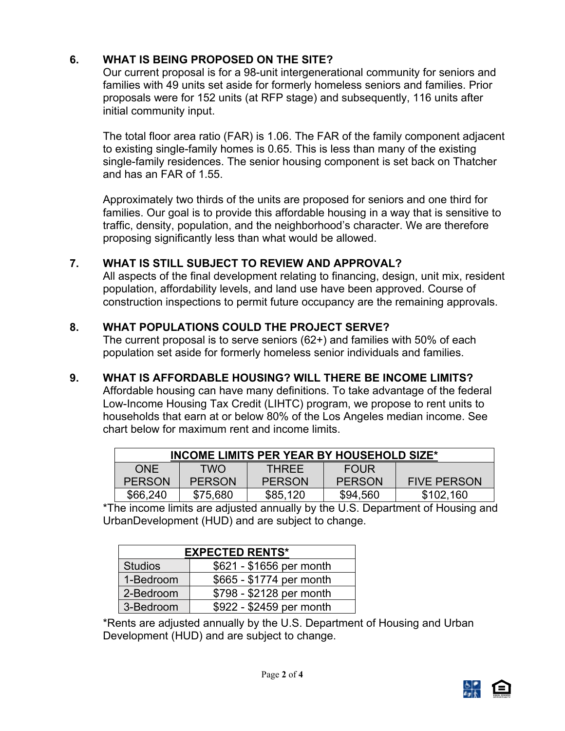# **6. WHAT IS BEING PROPOSED ON THE SITE?**

Our current proposal is for a 98-unit intergenerational community for seniors and families with 49 units set aside for formerly homeless seniors and families. Prior proposals were for 152 units (at RFP stage) and subsequently, 116 units after initial community input.

The total floor area ratio (FAR) is 1.06. The FAR of the family component adjacent to existing single-family homes is 0.65. This is less than many of the existing single-family residences. The senior housing component is set back on Thatcher and has an FAR of 1.55.

Approximately two thirds of the units are proposed for seniors and one third for families. Our goal is to provide this affordable housing in a way that is sensitive to traffic, density, population, and the neighborhood's character. We are therefore proposing significantly less than what would be allowed.

# **7. WHAT IS STILL SUBJECT TO REVIEW AND APPROVAL?**

All aspects of the final development relating to financing, design, unit mix, resident population, affordability levels, and land use have been approved. Course of construction inspections to permit future occupancy are the remaining approvals.

# **8. WHAT POPULATIONS COULD THE PROJECT SERVE?**

The current proposal is to serve seniors (62+) and families with 50% of each population set aside for formerly homeless senior individuals and families.

# **9. WHAT IS AFFORDABLE HOUSING? WILL THERE BE INCOME LIMITS?**

Affordable housing can have many definitions. To take advantage of the federal Low-Income Housing Tax Credit (LIHTC) program, we propose to rent units to households that earn at or below 80% of the Los Angeles median income. See chart below for maximum rent and income limits.

| <b>INCOME LIMITS PER YEAR BY HOUSEHOLD SIZE*</b> |               |               |               |                    |  |
|--------------------------------------------------|---------------|---------------|---------------|--------------------|--|
| <b>ONF</b>                                       | <b>TWO</b>    | <b>THRFF</b>  | <b>FOUR</b>   |                    |  |
| <b>PERSON</b>                                    | <b>PERSON</b> | <b>PERSON</b> | <b>PERSON</b> | <b>FIVE PERSON</b> |  |
| \$66,240                                         | \$75,680      | \$85,120      | \$94,560      | \$102,160          |  |

\*The income limits are adjusted annually by the U.S. Department of Housing and UrbanDevelopment (HUD) and are subject to change.

| <b>EXPECTED RENTS*</b> |                          |  |  |  |
|------------------------|--------------------------|--|--|--|
| <b>Studios</b>         | \$621 - \$1656 per month |  |  |  |
| 1-Bedroom              | \$665 - \$1774 per month |  |  |  |
| 2-Bedroom              | \$798 - \$2128 per month |  |  |  |
| 3-Bedroom              | \$922 - \$2459 per month |  |  |  |

\*Rents are adjusted annually by the U.S. Department of Housing and Urban Development (HUD) and are subject to change.

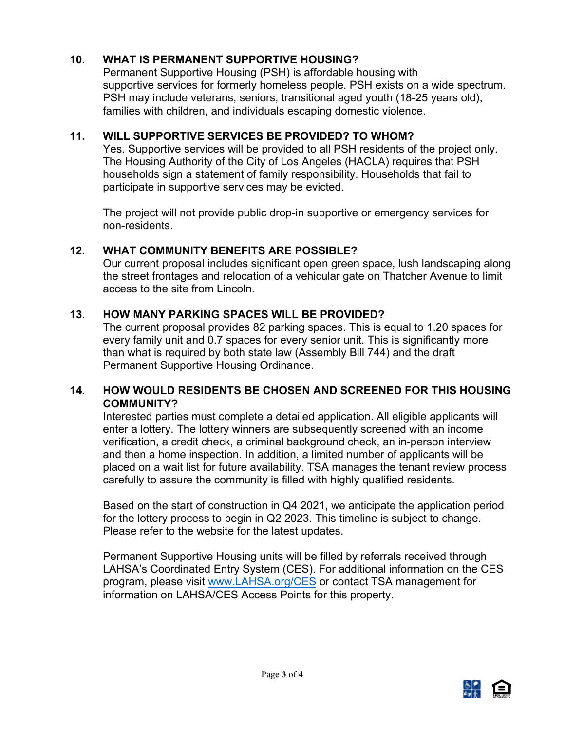# **10. WHAT IS PERMANENT SUPPORTIVE HOUSING?**

Permanent Supportive Housing (PSH) is affordable housing with supportive services for formerly homeless people. PSH exists on a wide spectrum. PSH may include veterans, seniors, transitional aged youth (18-25 years old), families with children, and individuals escaping domestic violence.

# **11. WILL SUPPORTIVE SERVICES BE PROVIDED? TO WHOM?**

Yes. Supportive services will be provided to all PSH residents of the project only. The Housing Authority of the City of Los Angeles (HACLA) requires that PSH households sign a statement of family responsibility. Households that fail to participate in supportive services may be evicted.

The project will not provide public drop-in supportive or emergency services for non-residents.

# **12. WHAT COMMUNITY BENEFITS ARE POSSIBLE?**

Our current proposal includes significant open green space, lush landscaping along the street frontages and relocation of a vehicular gate on Thatcher Avenue to limit access to the site from Lincoln.

# **13. HOW MANY PARKING SPACES WILL BE PROVIDED?**

The current proposal provides 82 parking spaces. This is equal to 1.20 spaces for every family unit and 0.7 spaces for every senior unit. This is significantly more than what is required by both state law (Assembly Bill 744) and the draft Permanent Supportive Housing Ordinance.

#### **14. HOW WOULD RESIDENTS BE CHOSEN AND SCREENED FOR THIS HOUSING COMMUNITY?**

Interested parties must complete a detailed application. All eligible applicants will enter a lottery. The lottery winners are subsequently screened with an income verification, a credit check, a criminal background check, an in-person interview and then a home inspection. In addition, a limited number of applicants will be placed on a wait list for future availability. TSA manages the tenant review process carefully to assure the community is filled with highly qualified residents.

Based on the start of construction in Q4 2021, we anticipate the application period for the lottery process to begin in Q2 2023. This timeline is subject to change. Please refer to the website for the latest updates.

Permanent Supportive Housing units will be filled by referrals received through LAHSA's Coordinated Entry System (CES). For additional information on the CES program, please visit [www.LAHSA.org/CES](http://www.lahsa.org/CES) or contact TSA management for information on LAHSA/CES Access Points for this property.